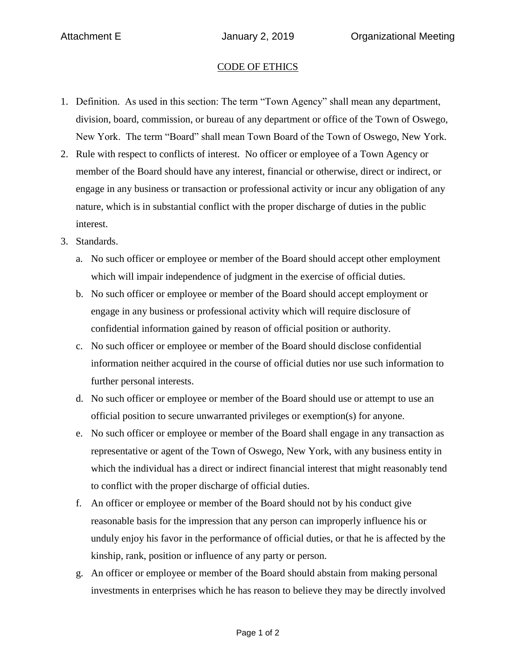## CODE OF ETHICS

- 1. Definition. As used in this section: The term "Town Agency" shall mean any department, division, board, commission, or bureau of any department or office of the Town of Oswego, New York. The term "Board" shall mean Town Board of the Town of Oswego, New York.
- 2. Rule with respect to conflicts of interest. No officer or employee of a Town Agency or member of the Board should have any interest, financial or otherwise, direct or indirect, or engage in any business or transaction or professional activity or incur any obligation of any nature, which is in substantial conflict with the proper discharge of duties in the public interest.
- 3. Standards.
	- a. No such officer or employee or member of the Board should accept other employment which will impair independence of judgment in the exercise of official duties.
	- b. No such officer or employee or member of the Board should accept employment or engage in any business or professional activity which will require disclosure of confidential information gained by reason of official position or authority.
	- c. No such officer or employee or member of the Board should disclose confidential information neither acquired in the course of official duties nor use such information to further personal interests.
	- d. No such officer or employee or member of the Board should use or attempt to use an official position to secure unwarranted privileges or exemption(s) for anyone.
	- e. No such officer or employee or member of the Board shall engage in any transaction as representative or agent of the Town of Oswego, New York, with any business entity in which the individual has a direct or indirect financial interest that might reasonably tend to conflict with the proper discharge of official duties.
	- f. An officer or employee or member of the Board should not by his conduct give reasonable basis for the impression that any person can improperly influence his or unduly enjoy his favor in the performance of official duties, or that he is affected by the kinship, rank, position or influence of any party or person.
	- g. An officer or employee or member of the Board should abstain from making personal investments in enterprises which he has reason to believe they may be directly involved